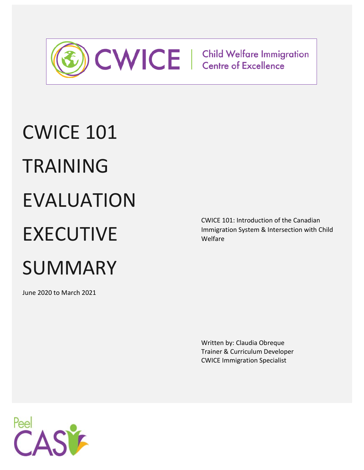

# CWICE 101 TRAINING EVALUATION EXECUTIVE **SUMMARY**

June 2020 to March 2021

CWICE 101: Introduction of the Canadian Immigration System & Intersection with Child Welfare

Written by: Claudia Obreque Trainer & Curriculum Developer CWICE Immigration Specialist

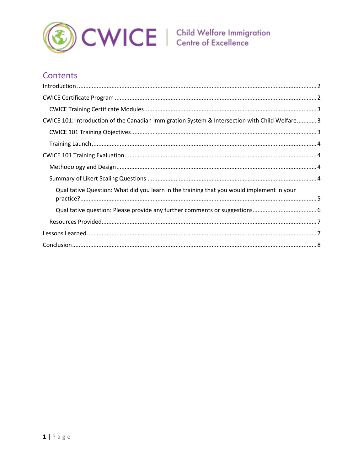

# **Contents**

| CWICE 101: Introduction of the Canadian Immigration System & Intersection with Child Welfare 3 |
|------------------------------------------------------------------------------------------------|
|                                                                                                |
|                                                                                                |
|                                                                                                |
|                                                                                                |
|                                                                                                |
| Qualitative Question: What did you learn in the training that you would implement in your      |
|                                                                                                |
|                                                                                                |
|                                                                                                |
|                                                                                                |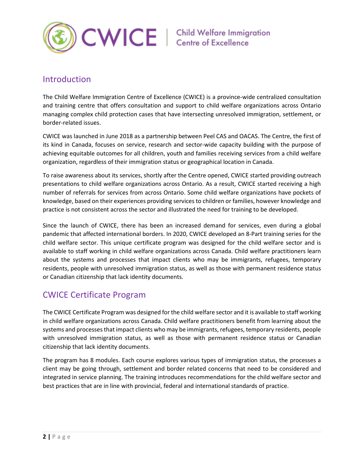

# <span id="page-2-0"></span>Introduction

The Child Welfare Immigration Centre of Excellence (CWICE) is a province-wide centralized consultation and training centre that offers consultation and support to child welfare organizations across Ontario managing complex child protection cases that have intersecting unresolved immigration, settlement, or border-related issues.

CWICE was launched in June 2018 as a partnership between Peel CAS and OACAS. The Centre, the first of its kind in Canada, focuses on service, research and sector-wide capacity building with the purpose of achieving equitable outcomes for all children, youth and families receiving services from a child welfare organization, regardless of their immigration status or geographical location in Canada.

To raise awareness about its services, shortly after the Centre opened, CWICE started providing outreach presentations to child welfare organizations across Ontario. As a result, CWICE started receiving a high number of referrals for services from across Ontario. Some child welfare organizations have pockets of knowledge, based on their experiences providing services to children or families, however knowledge and practice is not consistent across the sector and illustrated the need for training to be developed.

Since the launch of CWICE, there has been an increased demand for services, even during a global pandemic that affected international borders. In 2020, CWICE developed an 8-Part training series for the child welfare sector. This unique certificate program was designed for the child welfare sector and is available to staff working in child welfare organizations across Canada. Child welfare practitioners learn about the systems and processes that impact clients who may be immigrants, refugees, temporary residents, people with unresolved immigration status, as well as those with permanent residence status or Canadian citizenship that lack identity documents.

# <span id="page-2-1"></span>CWICE Certificate Program

The CWICE Certificate Program was designed for the child welfare sector and it is available to staff working in child welfare organizations across Canada. Child welfare practitioners benefit from learning about the systems and processes that impact clients who may be immigrants, refugees, temporary residents, people with unresolved immigration status, as well as those with permanent residence status or Canadian citizenship that lack identity documents.

The program has 8 modules. Each course explores various types of immigration status, the processes a client may be going through, settlement and border related concerns that need to be considered and integrated in service planning. The training introduces recommendations for the child welfare sector and best practices that are in line with provincial, federal and international standards of practice.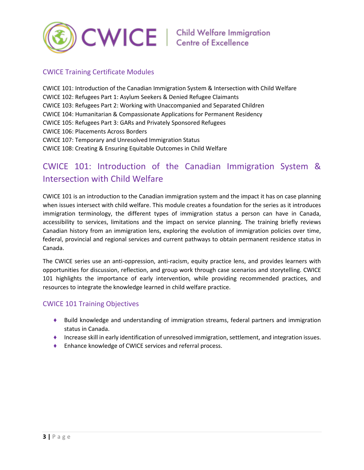

### <span id="page-3-0"></span>CWICE Training Certificate Modules

CWICE 101: Introduction of the Canadian Immigration System & Intersection with Child Welfare CWICE 102: Refugees Part 1: Asylum Seekers & Denied Refugee Claimants CWICE 103: Refugees Part 2: Working with Unaccompanied and Separated Children CWICE 104: Humanitarian & Compassionate Applications for Permanent Residency CWICE 105: Refugees Part 3: GARs and Privately Sponsored Refugees CWICE 106: Placements Across Borders CWICE 107: Temporary and Unresolved Immigration Status CWICE 108: Creating & Ensuring Equitable Outcomes in Child Welfare

# <span id="page-3-1"></span>CWICE 101: Introduction of the Canadian Immigration System & Intersection with Child Welfare

CWICE 101 is an introduction to the Canadian immigration system and the impact it has on case planning when issues intersect with child welfare. This module creates a foundation for the series as it introduces immigration terminology, the different types of immigration status a person can have in Canada, accessibility to services, limitations and the impact on service planning. The training briefly reviews Canadian history from an immigration lens, exploring the evolution of immigration policies over time, federal, provincial and regional services and current pathways to obtain permanent residence status in Canada.

The CWICE series use an anti-oppression, anti-racism, equity practice lens, and provides learners with opportunities for discussion, reflection, and group work through case scenarios and storytelling. CWICE 101 highlights the importance of early intervention, while providing recommended practices, and resources to integrate the knowledge learned in child welfare practice.

#### <span id="page-3-2"></span>CWICE 101 Training Objectives

- ♦ Build knowledge and understanding of immigration streams, federal partners and immigration status in Canada.
- ♦ Increase skill in early identification of unresolved immigration, settlement, and integration issues.
- ♦ Enhance knowledge of CWICE services and referral process.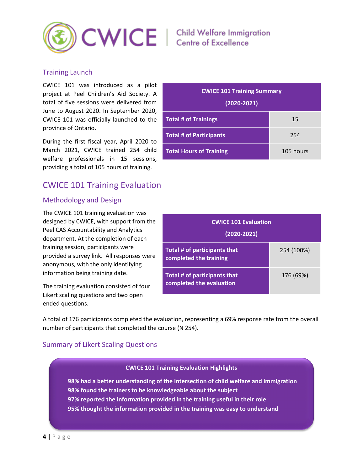

#### <span id="page-4-0"></span>Training Launch

CWICE 101 was introduced as a pilot project at Peel Children's Aid Society. A total of five sessions were delivered from June to August 2020. In September 2020, CWICE 101 was officially launched to the province of Ontario.

During the first fiscal year, April 2020 to March 2021, CWICE trained 254 child welfare professionals in 15 sessions, providing a total of 105 hours of training.

# <span id="page-4-1"></span>CWICE 101 Training Evaluation

#### <span id="page-4-2"></span>Methodology and Design

The CWICE 101 training evaluation was designed by CWICE, with support from the Peel CAS Accountability and Analytics department. At the completion of each training session, participants were provided a survey link. All responses were anonymous, with the only identifying information being training date.

The training evaluation consisted of four Likert scaling questions and two open ended questions.

| <b>CWICE 101 Training Summary</b> |           |  |
|-----------------------------------|-----------|--|
| $(2020 - 2021)$                   |           |  |
| <b>Total # of Trainings</b>       | 15        |  |
| <b>Total # of Participants</b>    | 254       |  |
| <b>Total Hours of Training</b>    | 105 hours |  |

| <b>CWICE 101 Evaluation</b><br>$(2020 - 2021)$                  |            |  |
|-----------------------------------------------------------------|------------|--|
| Total # of participants that<br>completed the training          | 254 (100%) |  |
| <b>Total # of participants that</b><br>completed the evaluation | 176 (69%)  |  |

A total of 176 participants completed the evaluation, representing a 69% response rate from the overall number of participants that completed the course (N 254).

#### <span id="page-4-3"></span>Summary of Likert Scaling Questions

#### **CWICE 101 Training Evaluation Highlights**

**98% had a better understanding of the intersection of child welfare and immigration 98% found the trainers to be knowledgeable about the subject 97% reported the information provided in the training useful in their role 95% thought the information provided in the training was easy to understand**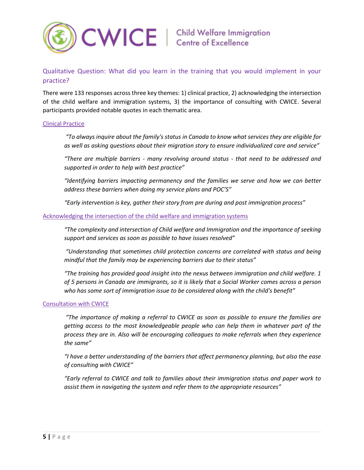

### <span id="page-5-0"></span>Qualitative Question: What did you learn in the training that you would implement in your practice?

There were 133 responses across three key themes: 1) clinical practice, 2) acknowledging the intersection of the child welfare and immigration systems, 3) the importance of consulting with CWICE. Several participants provided notable quotes in each thematic area.

#### Clinical Practice

*"To always inquire about the family's status in Canada to know what services they are eligible for as well as asking questions about their migration story to ensure individualized care and service"*

*"There are multiple barriers - many revolving around status - that need to be addressed and supported in order to help with best practice"*

*"Identifying barriers impacting permanency and the families we serve and how we can better address these barriers when doing my service plans and POC'S"*

*"Early intervention is key, gather their story from pre during and post immigration process"*

#### Acknowledging the intersection of the child welfare and immigration systems

*"The complexity and intersection of Child welfare and Immigration and the importance of seeking support and services as soon as possible to have issues resolved"*

*"Understanding that sometimes child protection concerns are correlated with status and being mindful that the family may be experiencing barriers due to their status"* 

*"The training has provided good insight into the nexus between immigration and child welfare. 1 of 5 persons in Canada are immigrants, so it is likely that a Social Worker comes across a person who has some sort of immigration issue to be considered along with the child's benefit"*

#### Consultation with CWICE

*"The importance of making a referral to CWICE as soon as possible to ensure the families are getting access to the most knowledgeable people who can help them in whatever part of the process they are in. Also will be encouraging colleagues to make referrals when they experience the same"*

*"I have a better understanding of the barriers that affect permanency planning, but also the ease of consulting with CWICE"*

*"Early referral to CWICE and talk to families about their immigration status and paper work to assist them in navigating the system and refer them to the appropriate resources"*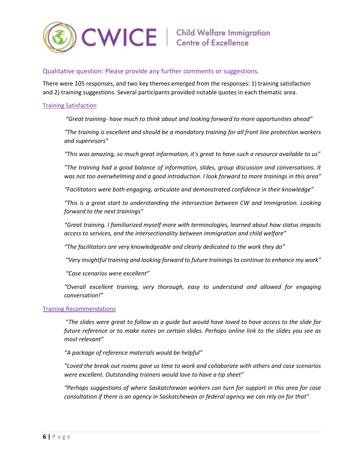

#### <span id="page-6-0"></span>Qualitative question: Please provide any further comments or suggestions.

There were 105 responses, and two key themes emerged from the responses: 1) training satisfaction and 2) training suggestions. Several participants provided notable quotes in each thematic area.

#### Training Satisfaction

*"Great training- have much to think about and looking forward to more opportunities ahead"*

*"The training is excellent and should be a mandatory training for all front line protection workers and supervisors"*

*"This was amazing, so much great information, it's great to have such a resource available to us"*

*"The training had a good balance of information, slides, group discussion and conversations. It was not too overwhelming and a good introduction. I look forward to more trainings in this area"*

*"Facilitators were both engaging, articulate and demonstrated confidence in their knowledge"*

*"This is a great start to understanding the intersection between CW and Immigration. Looking forward to the next trainings"*

*"Great training. I familiarized myself more with terminologies, learned about how status impacts access to services, and the intersectionality between immigration and child welfare"*

*"The facilitators are very knowledgeable and clearly dedicated to the work they do"*

*"Very insightful training and looking forward to future trainings to continue to enhance my work"*

*"Case scenarios were excellent"*

*"Overall excellent training, very thorough, easy to understand and allowed for engaging conversation!"*

#### Training Recommendations

"*The slides were great to follow as a guide but would have loved to have access to the slide for future reference or to make notes on certain slides. Perhaps online link to the slides you see as most relevant"*

*"A package of reference materials would be helpful"*

*"Loved the break out rooms gave us time to work and collaborate with others and case scenarios were excellent. Outstanding trainers would love to have a tip sheet"* 

*"Perhaps suggestions of where Saskatchewan workers can turn for support in this area for case consultation if there is an agency in Saskatchewan or federal agency we can rely on for that"*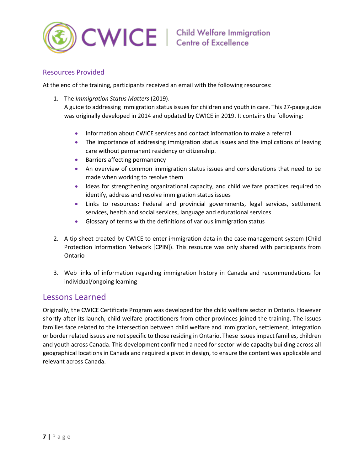

#### <span id="page-7-0"></span>Resources Provided

At the end of the training, participants received an email with the following resources:

1. The *Immigration Status Matters* (2019).

A guide to addressing immigration status issues for children and youth in care. This 27-page guide was originally developed in 2014 and updated by CWICE in 2019. It contains the following:

- Information about CWICE services and contact information to make a referral
- The importance of addressing immigration status issues and the implications of leaving care without permanent residency or citizenship.
- Barriers affecting permanency
- An overview of common immigration status issues and considerations that need to be made when working to resolve them
- Ideas for strengthening organizational capacity, and child welfare practices required to identify, address and resolve immigration status issues
- Links to resources: Federal and provincial governments, legal services, settlement services, health and social services, language and educational services
- Glossary of terms with the definitions of various immigration status
- 2. A tip sheet created by CWICE to enter immigration data in the case management system (Child Protection Information Network [CPIN]). This resource was only shared with participants from Ontario
- 3. Web links of information regarding immigration history in Canada and recommendations for individual/ongoing learning

## <span id="page-7-1"></span>Lessons Learned

Originally, the CWICE Certificate Program was developed for the child welfare sector in Ontario. However shortly after its launch, child welfare practitioners from other provinces joined the training. The issues families face related to the intersection between child welfare and immigration, settlement, integration or border related issues are not specific to those residing in Ontario. These issues impact families, children and youth across Canada. This development confirmed a need for sector-wide capacity building across all geographical locations in Canada and required a pivot in design, to ensure the content was applicable and relevant across Canada.